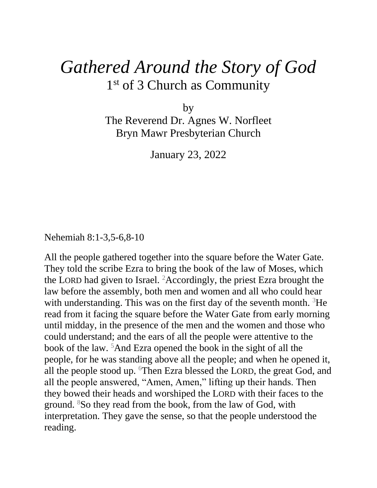## *Gathered Around the Story of God* 1st of 3 Church as Community

by

The Reverend Dr. Agnes W. Norfleet Bryn Mawr Presbyterian Church

January 23, 2022

Nehemiah 8:1-3,5-6,8-10

All the people gathered together into the square before the Water Gate. They told the scribe Ezra to bring the book of the law of Moses, which the LORD had given to Israel. <sup>2</sup>Accordingly, the priest Ezra brought the law before the assembly, both men and women and all who could hear with understanding. This was on the first day of the seventh month.  ${}^{3}$ He read from it facing the square before the Water Gate from early morning until midday, in the presence of the men and the women and those who could understand; and the ears of all the people were attentive to the book of the law. <sup>5</sup>And Ezra opened the book in the sight of all the people, for he was standing above all the people; and when he opened it, all the people stood up. <sup>6</sup>Then Ezra blessed the LORD, the great God, and all the people answered, "Amen, Amen," lifting up their hands. Then they bowed their heads and worshiped the LORD with their faces to the ground. <sup>8</sup>So they read from the book, from the law of God, with interpretation. They gave the sense, so that the people understood the reading.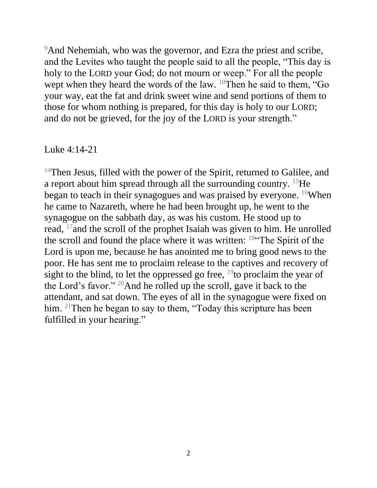<sup>9</sup>And Nehemiah, who was the governor, and Ezra the priest and scribe, and the Levites who taught the people said to all the people, "This day is holy to the LORD your God; do not mourn or weep." For all the people wept when they heard the words of the law.  $10$ Then he said to them, "Go your way, eat the fat and drink sweet wine and send portions of them to those for whom nothing is prepared, for this day is holy to our LORD; and do not be grieved, for the joy of the LORD is your strength."

## Luke 4:14-21

<sup>14</sup>Then Jesus, filled with the power of the Spirit, returned to Galilee, and a report about him spread through all the surrounding country. <sup>15</sup>He began to teach in their synagogues and was praised by everyone. <sup>16</sup>When he came to Nazareth, where he had been brought up, he went to the synagogue on the sabbath day, as was his custom. He stood up to read, <sup>17</sup> and the scroll of the prophet Isaiah was given to him. He unrolled the scroll and found the place where it was written: <sup>18</sup>"The Spirit of the Lord is upon me, because he has anointed me to bring good news to the poor. He has sent me to proclaim release to the captives and recovery of sight to the blind, to let the oppressed go free,  $19$  to proclaim the year of the Lord's favor." <sup>20</sup>And he rolled up the scroll, gave it back to the attendant, and sat down. The eyes of all in the synagogue were fixed on him. <sup>21</sup>Then he began to say to them, "Today this scripture has been fulfilled in your hearing."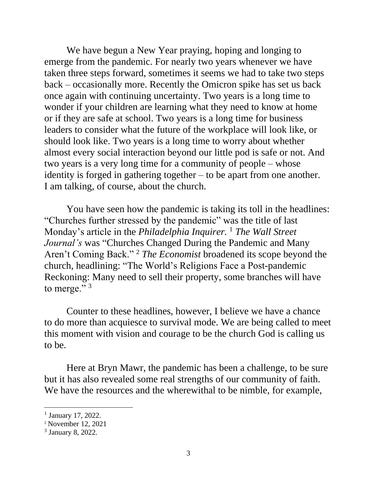We have begun a New Year praying, hoping and longing to emerge from the pandemic. For nearly two years whenever we have taken three steps forward, sometimes it seems we had to take two steps back – occasionally more. Recently the Omicron spike has set us back once again with continuing uncertainty. Two years is a long time to wonder if your children are learning what they need to know at home or if they are safe at school. Two years is a long time for business leaders to consider what the future of the workplace will look like, or should look like. Two years is a long time to worry about whether almost every social interaction beyond our little pod is safe or not. And two years is a very long time for a community of people – whose identity is forged in gathering together – to be apart from one another. I am talking, of course, about the church.

You have seen how the pandemic is taking its toll in the headlines: "Churches further stressed by the pandemic" was the title of last Monday's article in the *Philadelphia Inquirer*. <sup>1</sup> *The Wall Street Journal's* was "Churches Changed During the Pandemic and Many Aren't Coming Back." <sup>2</sup> *The Economist* broadened its scope beyond the church, headlining: "The World's Religions Face a Post-pandemic Reckoning: Many need to sell their property, some branches will have to merge." $3$ 

Counter to these headlines, however, I believe we have a chance to do more than acquiesce to survival mode. We are being called to meet this moment with vision and courage to be the church God is calling us to be.

Here at Bryn Mawr, the pandemic has been a challenge, to be sure but it has also revealed some real strengths of our community of faith. We have the resources and the wherewithal to be nimble, for example,

 $\overline{a}$ 

<sup>&</sup>lt;sup>1</sup> January 17, 2022.

<sup>2</sup> November 12, 2021

<sup>3</sup> January 8, 2022.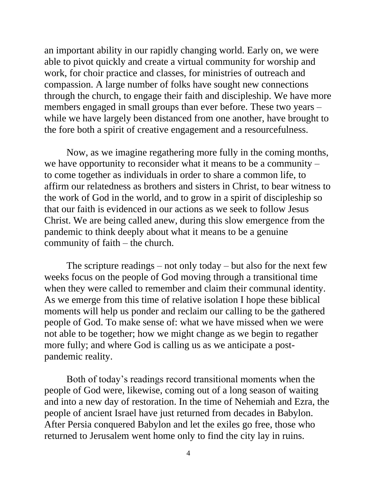an important ability in our rapidly changing world. Early on, we were able to pivot quickly and create a virtual community for worship and work, for choir practice and classes, for ministries of outreach and compassion. A large number of folks have sought new connections through the church, to engage their faith and discipleship. We have more members engaged in small groups than ever before. These two years – while we have largely been distanced from one another, have brought to the fore both a spirit of creative engagement and a resourcefulness.

 Now, as we imagine regathering more fully in the coming months, we have opportunity to reconsider what it means to be a community – to come together as individuals in order to share a common life, to affirm our relatedness as brothers and sisters in Christ, to bear witness to the work of God in the world, and to grow in a spirit of discipleship so that our faith is evidenced in our actions as we seek to follow Jesus Christ. We are being called anew, during this slow emergence from the pandemic to think deeply about what it means to be a genuine community of faith – the church.

The scripture readings – not only today – but also for the next few weeks focus on the people of God moving through a transitional time when they were called to remember and claim their communal identity. As we emerge from this time of relative isolation I hope these biblical moments will help us ponder and reclaim our calling to be the gathered people of God. To make sense of: what we have missed when we were not able to be together; how we might change as we begin to regather more fully; and where God is calling us as we anticipate a postpandemic reality.

 Both of today's readings record transitional moments when the people of God were, likewise, coming out of a long season of waiting and into a new day of restoration. In the time of Nehemiah and Ezra, the people of ancient Israel have just returned from decades in Babylon. After Persia conquered Babylon and let the exiles go free, those who returned to Jerusalem went home only to find the city lay in ruins.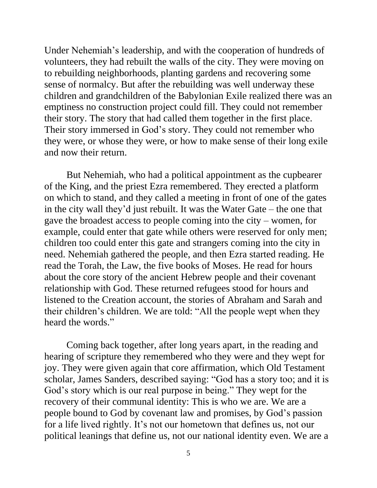Under Nehemiah's leadership, and with the cooperation of hundreds of volunteers, they had rebuilt the walls of the city. They were moving on to rebuilding neighborhoods, planting gardens and recovering some sense of normalcy. But after the rebuilding was well underway these children and grandchildren of the Babylonian Exile realized there was an emptiness no construction project could fill. They could not remember their story. The story that had called them together in the first place. Their story immersed in God's story. They could not remember who they were, or whose they were, or how to make sense of their long exile and now their return.

But Nehemiah, who had a political appointment as the cupbearer of the King, and the priest Ezra remembered. They erected a platform on which to stand, and they called a meeting in front of one of the gates in the city wall they'd just rebuilt. It was the Water Gate – the one that gave the broadest access to people coming into the city – women, for example, could enter that gate while others were reserved for only men; children too could enter this gate and strangers coming into the city in need. Nehemiah gathered the people, and then Ezra started reading. He read the Torah, the Law, the five books of Moses. He read for hours about the core story of the ancient Hebrew people and their covenant relationship with God. These returned refugees stood for hours and listened to the Creation account, the stories of Abraham and Sarah and their children's children. We are told: "All the people wept when they heard the words."

 Coming back together, after long years apart, in the reading and hearing of scripture they remembered who they were and they wept for joy. They were given again that core affirmation, which Old Testament scholar, James Sanders, described saying: "God has a story too; and it is God's story which is our real purpose in being." They wept for the recovery of their communal identity: This is who we are. We are a people bound to God by covenant law and promises, by God's passion for a life lived rightly. It's not our hometown that defines us, not our political leanings that define us, not our national identity even. We are a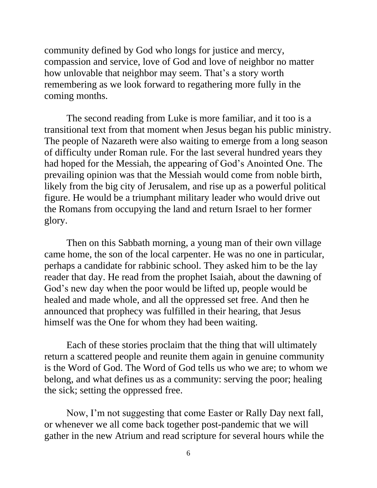community defined by God who longs for justice and mercy, compassion and service, love of God and love of neighbor no matter how unlovable that neighbor may seem. That's a story worth remembering as we look forward to regathering more fully in the coming months.

 The second reading from Luke is more familiar, and it too is a transitional text from that moment when Jesus began his public ministry. The people of Nazareth were also waiting to emerge from a long season of difficulty under Roman rule. For the last several hundred years they had hoped for the Messiah, the appearing of God's Anointed One. The prevailing opinion was that the Messiah would come from noble birth, likely from the big city of Jerusalem, and rise up as a powerful political figure. He would be a triumphant military leader who would drive out the Romans from occupying the land and return Israel to her former glory.

 Then on this Sabbath morning, a young man of their own village came home, the son of the local carpenter. He was no one in particular, perhaps a candidate for rabbinic school. They asked him to be the lay reader that day. He read from the prophet Isaiah, about the dawning of God's new day when the poor would be lifted up, people would be healed and made whole, and all the oppressed set free. And then he announced that prophecy was fulfilled in their hearing, that Jesus himself was the One for whom they had been waiting.

 Each of these stories proclaim that the thing that will ultimately return a scattered people and reunite them again in genuine community is the Word of God. The Word of God tells us who we are; to whom we belong, and what defines us as a community: serving the poor; healing the sick; setting the oppressed free.

 Now, I'm not suggesting that come Easter or Rally Day next fall, or whenever we all come back together post-pandemic that we will gather in the new Atrium and read scripture for several hours while the